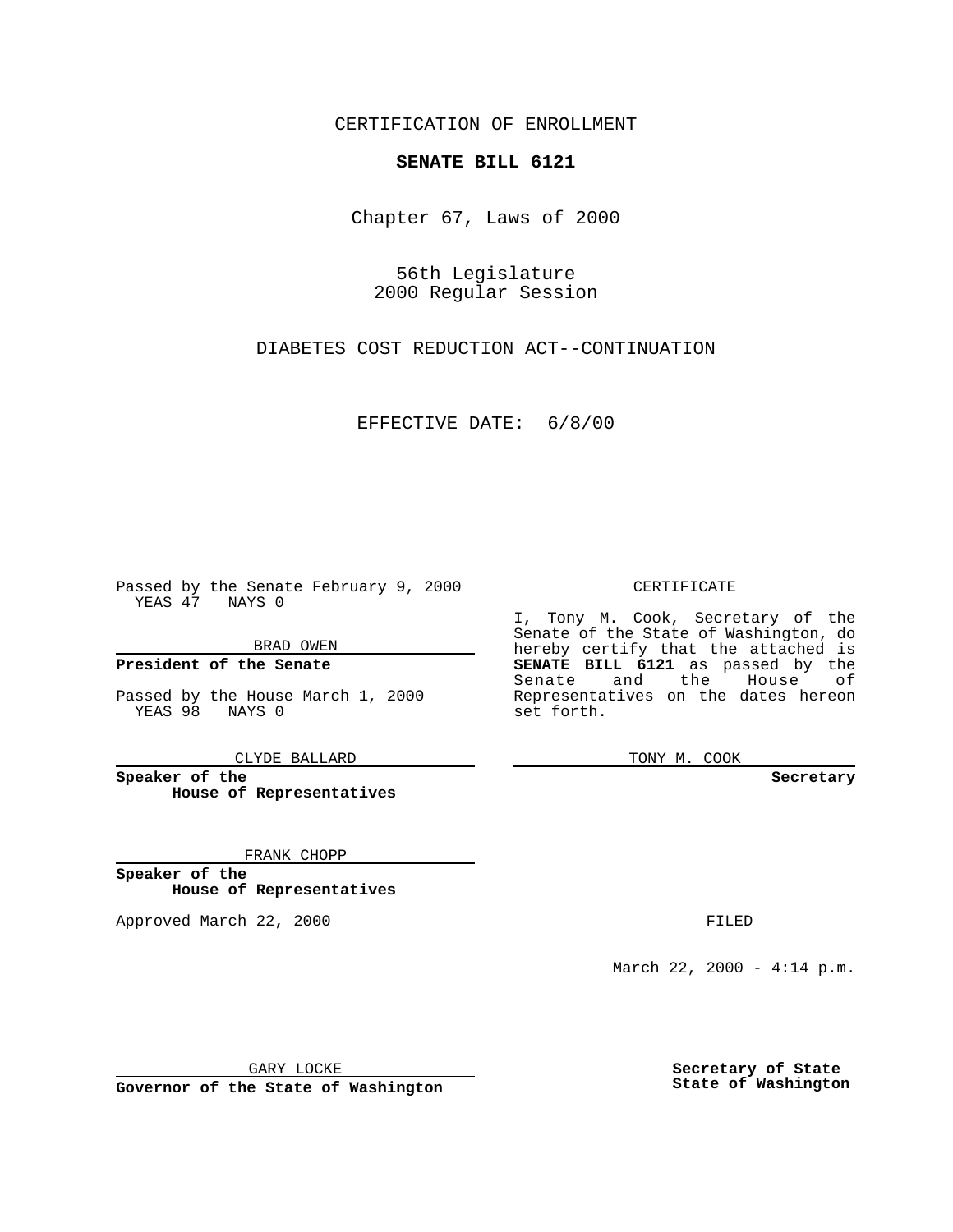CERTIFICATION OF ENROLLMENT

## **SENATE BILL 6121**

Chapter 67, Laws of 2000

56th Legislature 2000 Regular Session

DIABETES COST REDUCTION ACT--CONTINUATION

EFFECTIVE DATE: 6/8/00

Passed by the Senate February 9, 2000 YEAS 47 NAYS 0

BRAD OWEN

**President of the Senate**

Passed by the House March 1, 2000 YEAS 98 NAYS 0

CLYDE BALLARD

**Speaker of the House of Representatives**

FRANK CHOPP

**Speaker of the House of Representatives**

Approved March 22, 2000 FILED

## CERTIFICATE

I, Tony M. Cook, Secretary of the Senate of the State of Washington, do hereby certify that the attached is **SENATE BILL 6121** as passed by the Senate and the House of Representatives on the dates hereon set forth.

TONY M. COOK

**Secretary**

March 22, 2000 - 4:14 p.m.

GARY LOCKE

**Governor of the State of Washington**

**Secretary of State State of Washington**